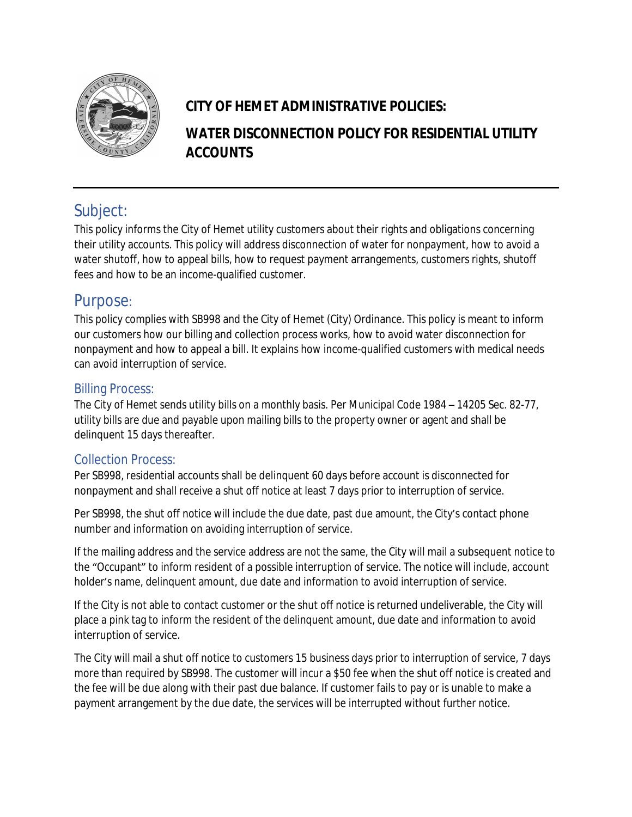

# **CITY OF HEMET ADMINISTRATIVE POLICIES: WATER DISCONNECTION POLICY FOR RESIDENTIAL UTILITY ACCOUNTS**

## Subject:

This policy informs the City of Hemet utility customers about their rights and obligations concerning their utility accounts. This policy will address disconnection of water for nonpayment, how to avoid a water shutoff, how to appeal bills, how to request payment arrangements, customers rights, shutoff fees and how to be an income-qualified customer.

## Purpose:

This policy complies with SB998 and the City of Hemet (City) Ordinance. This policy is meant to inform our customers how our billing and collection process works, how to avoid water disconnection for nonpayment and how to appeal a bill. It explains how income-qualified customers with medical needs can avoid interruption of service.

### Billing Process:

The City of Hemet sends utility bills on a monthly basis. Per Municipal Code 1984 – 14205 Sec. 82-77, utility bills are due and payable upon mailing bills to the property owner or agent and shall be delinquent 15 days thereafter.

### Collection Process:

Per SB998, residential accounts shall be delinquent 60 days before account is disconnected for nonpayment and shall receive a shut off notice at least 7 days prior to interruption of service.

Per SB998, the shut off notice will include the due date, past due amount, the City's contact phone number and information on avoiding interruption of service.

If the mailing address and the service address are not the same, the City will mail a subsequent notice to the "Occupant" to inform resident of a possible interruption of service. The notice will include, account holder's name, delinquent amount, due date and information to avoid interruption of service.

If the City is not able to contact customer or the shut off notice is returned undeliverable, the City will place a pink tag to inform the resident of the delinquent amount, due date and information to avoid interruption of service.

The City will mail a shut off notice to customers 15 business days prior to interruption of service, 7 days more than required by SB998. The customer will incur a \$50 fee when the shut off notice is created and the fee will be due along with their past due balance. If customer fails to pay or is unable to make a payment arrangement by the due date, the services will be interrupted without further notice.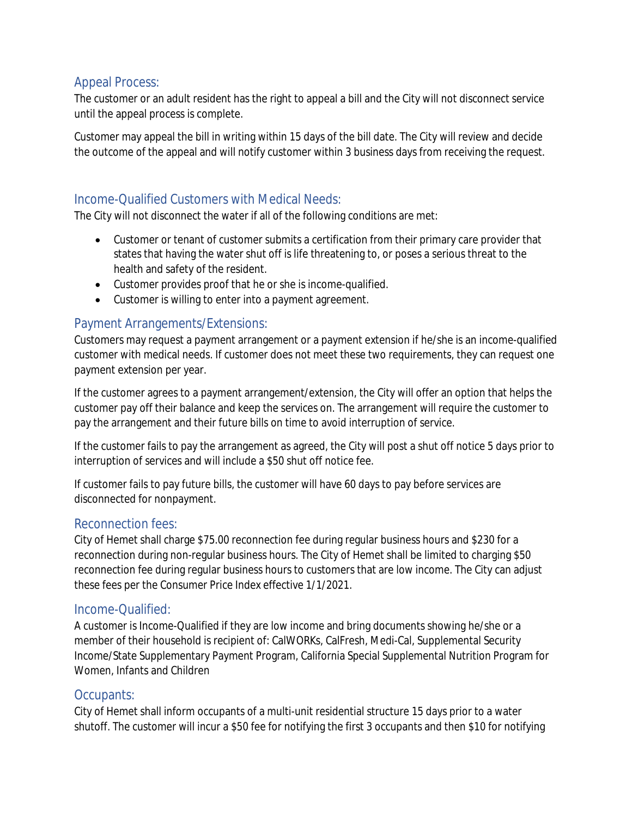#### Appeal Process:

The customer or an adult resident has the right to appeal a bill and the City will not disconnect service until the appeal process is complete.

Customer may appeal the bill in writing within 15 days of the bill date. The City will review and decide the outcome of the appeal and will notify customer within 3 business days from receiving the request.

#### Income-Qualified Customers with Medical Needs:

The City will not disconnect the water if all of the following conditions are met:

- Customer or tenant of customer submits a certification from their primary care provider that states that having the water shut off is life threatening to, or poses a serious threat to the health and safety of the resident.
- Customer provides proof that he or she is income-qualified.
- Customer is willing to enter into a payment agreement.

#### Payment Arrangements/Extensions:

Customers may request a payment arrangement or a payment extension if he/she is an income-qualified customer with medical needs. If customer does not meet these two requirements, they can request one payment extension per year.

If the customer agrees to a payment arrangement/extension, the City will offer an option that helps the customer pay off their balance and keep the services on. The arrangement will require the customer to pay the arrangement and their future bills on time to avoid interruption of service.

If the customer fails to pay the arrangement as agreed, the City will post a shut off notice 5 days prior to interruption of services and will include a \$50 shut off notice fee.

If customer fails to pay future bills, the customer will have 60 days to pay before services are disconnected for nonpayment.

#### Reconnection fees:

City of Hemet shall charge \$75.00 reconnection fee during regular business hours and \$230 for a reconnection during non-regular business hours. The City of Hemet shall be limited to charging \$50 reconnection fee during regular business hours to customers that are low income. The City can adjust these fees per the Consumer Price Index effective 1/1/2021.

#### Income-Qualified:

A customer is Income-Qualified if they are low income and bring documents showing he/she or a member of their household is recipient of: CalWORKs, CalFresh, Medi-Cal, Supplemental Security Income/State Supplementary Payment Program, California Special Supplemental Nutrition Program for Women, Infants and Children

#### Occupants:

City of Hemet shall inform occupants of a multi-unit residential structure 15 days prior to a water shutoff. The customer will incur a \$50 fee for notifying the first 3 occupants and then \$10 for notifying